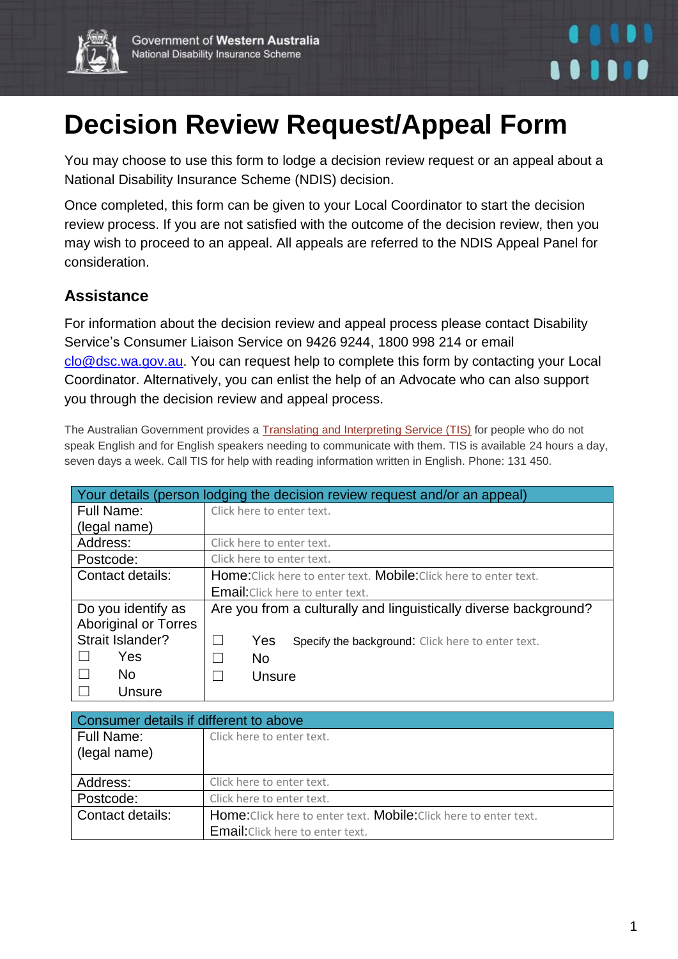



## **Decision Review Request/Appeal Form**

You may choose to use this form to lodge a decision review request or an appeal about a National Disability Insurance Scheme (NDIS) decision.

Once completed, this form can be given to your Local Coordinator to start the decision review process. If you are not satisfied with the outcome of the decision review, then you may wish to proceed to an appeal. All appeals are referred to the NDIS Appeal Panel for consideration.

## **Assistance**

For information about the decision review and appeal process please contact Disability Service's Consumer Liaison Service on 9426 9244, 1800 998 214 or email [clo@dsc.wa.gov.au.](mailto:clo@dsc.wa.gov.au) You can request help to complete this form by contacting your Local Coordinator. Alternatively, you can enlist the help of an Advocate who can also support you through the decision review and appeal process.

The Australian Government provides a [Translating and Interpreting Service \(TIS\)](http://www.immi.gov.au/living-in-australia/help-with-english/help_with_translating/index.htm) for people who do not speak English and for English speakers needing to communicate with them. TIS is available 24 hours a day, seven days a week. Call TIS for help with reading information written in English. Phone: 131 450.

| Your details (person lodging the decision review request and/or an appeal) |                                                                                 |  |
|----------------------------------------------------------------------------|---------------------------------------------------------------------------------|--|
| <b>Full Name:</b>                                                          | Click here to enter text.                                                       |  |
| (legal name)                                                               |                                                                                 |  |
| Address:                                                                   | Click here to enter text.                                                       |  |
| Postcode:                                                                  | Click here to enter text.                                                       |  |
| Contact details:                                                           | <b>Home:</b> Click here to enter text. <b>Mobile:</b> Click here to enter text. |  |
|                                                                            | <b>Email:</b> Click here to enter text.                                         |  |
| Do you identify as                                                         | Are you from a culturally and linguistically diverse background?                |  |
| <b>Aboriginal or Torres</b>                                                |                                                                                 |  |
| Strait Islander?                                                           | Yes<br>$\mathbf{L}$<br>Specify the background: Click here to enter text.        |  |
| Yes                                                                        | <b>No</b><br>H                                                                  |  |
| N <sub>o</sub>                                                             | Unsure<br>M                                                                     |  |
| Unsure                                                                     |                                                                                 |  |

| Consumer details if different to above |                                                                                 |  |
|----------------------------------------|---------------------------------------------------------------------------------|--|
| <b>Full Name:</b><br>(legal name)      | Click here to enter text.                                                       |  |
| Address:                               | Click here to enter text.                                                       |  |
| Postcode:                              | Click here to enter text.                                                       |  |
| Contact details:                       | <b>Home:</b> Click here to enter text. <b>Mobile:</b> Click here to enter text. |  |
|                                        | <b>Email:</b> Click here to enter text.                                         |  |